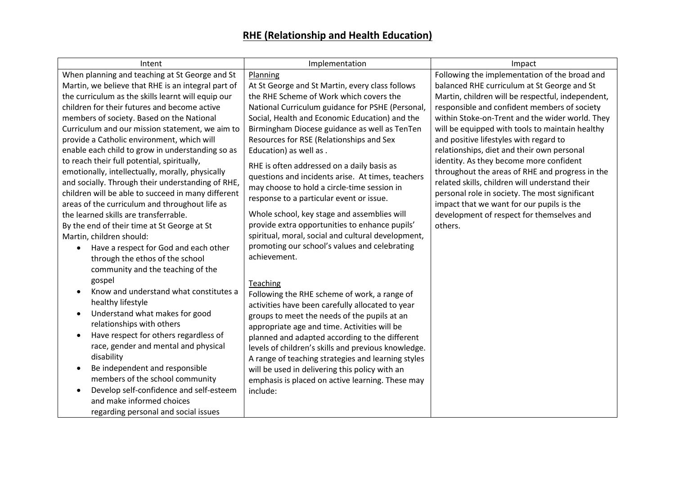| Following the implementation of the broad and     |
|---------------------------------------------------|
|                                                   |
| balanced RHE curriculum at St George and St       |
| Martin, children will be respectful, independent, |
| responsible and confident members of society      |
| within Stoke-on-Trent and the wider world. They   |
| will be equipped with tools to maintain healthy   |
|                                                   |
|                                                   |
|                                                   |
| throughout the areas of RHE and progress in the   |
| related skills, children will understand their    |
| personal role in society. The most significant    |
|                                                   |
| development of respect for themselves and         |
|                                                   |
|                                                   |
|                                                   |
|                                                   |
|                                                   |
|                                                   |
|                                                   |
|                                                   |
|                                                   |
|                                                   |
|                                                   |
|                                                   |
|                                                   |
|                                                   |
|                                                   |
|                                                   |
|                                                   |
| relationships, diet and their own personal        |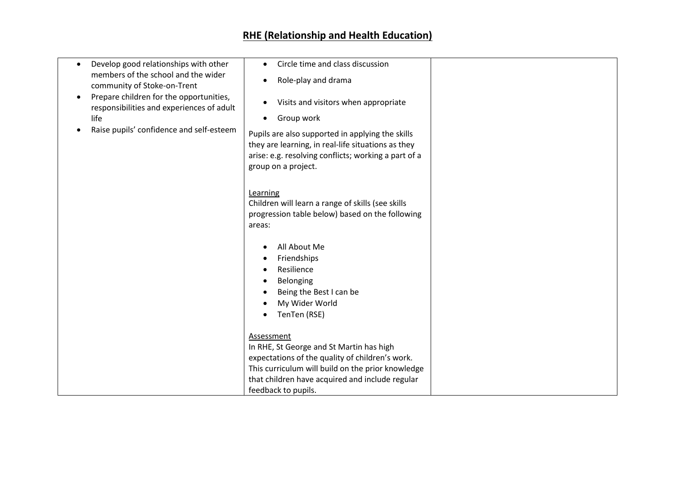## **RHE (Relationship and Health Education)**

| Develop good relationships with other<br>$\bullet$                                                | Circle time and class discussion<br>$\bullet$                                                                                                                                         |  |
|---------------------------------------------------------------------------------------------------|---------------------------------------------------------------------------------------------------------------------------------------------------------------------------------------|--|
| members of the school and the wider<br>community of Stoke-on-Trent                                | Role-play and drama<br>$\bullet$                                                                                                                                                      |  |
| Prepare children for the opportunities,<br>$\bullet$<br>responsibilities and experiences of adult | Visits and visitors when appropriate<br>$\bullet$                                                                                                                                     |  |
| life                                                                                              | Group work<br>$\bullet$                                                                                                                                                               |  |
| Raise pupils' confidence and self-esteem                                                          | Pupils are also supported in applying the skills<br>they are learning, in real-life situations as they<br>arise: e.g. resolving conflicts; working a part of a<br>group on a project. |  |
|                                                                                                   | Learning<br>Children will learn a range of skills (see skills<br>progression table below) based on the following<br>areas:                                                            |  |
|                                                                                                   | All About Me<br>$\bullet$<br>Friendships<br>$\bullet$<br>Resilience                                                                                                                   |  |
|                                                                                                   | Belonging<br>$\bullet$                                                                                                                                                                |  |
|                                                                                                   | Being the Best I can be                                                                                                                                                               |  |
|                                                                                                   | My Wider World<br>$\bullet$                                                                                                                                                           |  |
|                                                                                                   | TenTen (RSE)<br>$\bullet$                                                                                                                                                             |  |
|                                                                                                   | Assessment                                                                                                                                                                            |  |
|                                                                                                   | In RHE, St George and St Martin has high                                                                                                                                              |  |
|                                                                                                   | expectations of the quality of children's work.                                                                                                                                       |  |
|                                                                                                   | This curriculum will build on the prior knowledge                                                                                                                                     |  |
|                                                                                                   | that children have acquired and include regular                                                                                                                                       |  |
|                                                                                                   | feedback to pupils.                                                                                                                                                                   |  |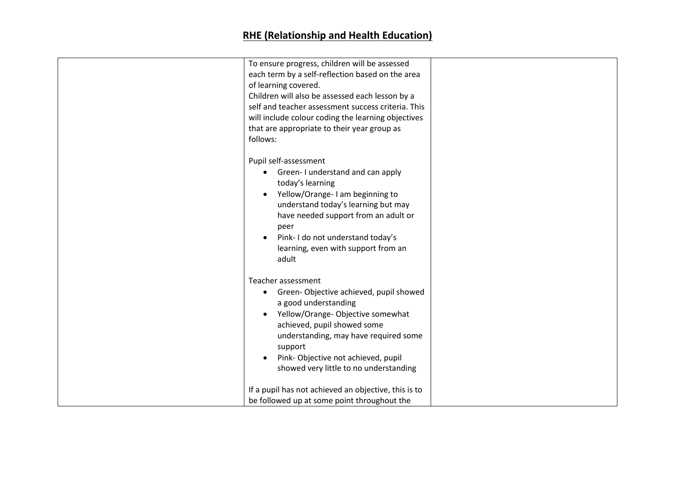| To ensure progress, children will be assessed<br>each term by a self-reflection based on the area<br>of learning covered.<br>Children will also be assessed each lesson by a<br>self and teacher assessment success criteria. This<br>will include colour coding the learning objectives<br>that are appropriate to their year group as<br>follows: |  |
|-----------------------------------------------------------------------------------------------------------------------------------------------------------------------------------------------------------------------------------------------------------------------------------------------------------------------------------------------------|--|
| Pupil self-assessment<br>Green-I understand and can apply<br>today's learning<br>Yellow/Orange-I am beginning to<br>$\bullet$<br>understand today's learning but may<br>have needed support from an adult or<br>peer<br>Pink-I do not understand today's<br>$\bullet$<br>learning, even with support from an<br>adult                               |  |
| Teacher assessment<br>Green-Objective achieved, pupil showed<br>$\bullet$<br>a good understanding<br>Yellow/Orange-Objective somewhat<br>achieved, pupil showed some<br>understanding, may have required some<br>support<br>Pink-Objective not achieved, pupil<br>$\bullet$<br>showed very little to no understanding                               |  |
| If a pupil has not achieved an objective, this is to<br>be followed up at some point throughout the                                                                                                                                                                                                                                                 |  |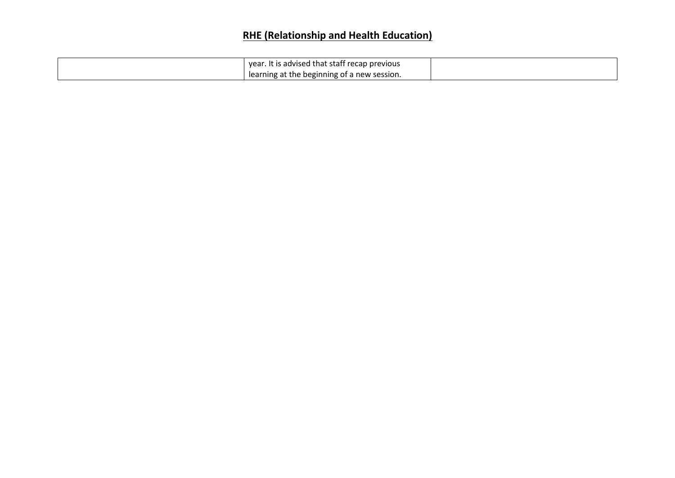## **RHE (Relationship and Health Education)**

| year. It is advised that staff recap previous |  |
|-----------------------------------------------|--|
| learning at the beginning of a new session.   |  |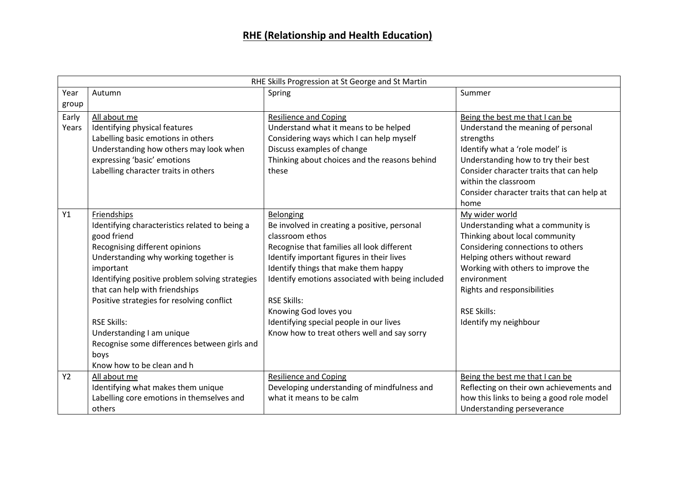| RHE Skills Progression at St George and St Martin |                                                                                                                                                                                                                                                                                                                                                                                                                                                  |                                                                                                                                                                                                                                                                                                                                                                                                              |                                                                                                                                                                                                                                                                                                        |
|---------------------------------------------------|--------------------------------------------------------------------------------------------------------------------------------------------------------------------------------------------------------------------------------------------------------------------------------------------------------------------------------------------------------------------------------------------------------------------------------------------------|--------------------------------------------------------------------------------------------------------------------------------------------------------------------------------------------------------------------------------------------------------------------------------------------------------------------------------------------------------------------------------------------------------------|--------------------------------------------------------------------------------------------------------------------------------------------------------------------------------------------------------------------------------------------------------------------------------------------------------|
| Year                                              | Autumn                                                                                                                                                                                                                                                                                                                                                                                                                                           | Spring                                                                                                                                                                                                                                                                                                                                                                                                       | Summer                                                                                                                                                                                                                                                                                                 |
| group                                             |                                                                                                                                                                                                                                                                                                                                                                                                                                                  |                                                                                                                                                                                                                                                                                                                                                                                                              |                                                                                                                                                                                                                                                                                                        |
| Early<br>Years                                    | All about me<br>Identifying physical features<br>Labelling basic emotions in others<br>Understanding how others may look when<br>expressing 'basic' emotions<br>Labelling character traits in others                                                                                                                                                                                                                                             | <b>Resilience and Coping</b><br>Understand what it means to be helped<br>Considering ways which I can help myself<br>Discuss examples of change<br>Thinking about choices and the reasons behind<br>these                                                                                                                                                                                                    | Being the best me that I can be<br>Understand the meaning of personal<br>strengths<br>Identify what a 'role model' is<br>Understanding how to try their best<br>Consider character traits that can help<br>within the classroom<br>Consider character traits that can help at                          |
| Y1                                                | Friendships<br>Identifying characteristics related to being a<br>good friend<br>Recognising different opinions<br>Understanding why working together is<br>important<br>Identifying positive problem solving strategies<br>that can help with friendships<br>Positive strategies for resolving conflict<br><b>RSE Skills:</b><br>Understanding I am unique<br>Recognise some differences between girls and<br>boys<br>Know how to be clean and h | Belonging<br>Be involved in creating a positive, personal<br>classroom ethos<br>Recognise that families all look different<br>Identify important figures in their lives<br>Identify things that make them happy<br>Identify emotions associated with being included<br><b>RSE Skills:</b><br>Knowing God loves you<br>Identifying special people in our lives<br>Know how to treat others well and say sorry | home<br>My wider world<br>Understanding what a community is<br>Thinking about local community<br>Considering connections to others<br>Helping others without reward<br>Working with others to improve the<br>environment<br>Rights and responsibilities<br><b>RSE Skills:</b><br>Identify my neighbour |
| <b>Y2</b>                                         | All about me<br>Identifying what makes them unique<br>Labelling core emotions in themselves and<br>others                                                                                                                                                                                                                                                                                                                                        | <b>Resilience and Coping</b><br>Developing understanding of mindfulness and<br>what it means to be calm                                                                                                                                                                                                                                                                                                      | Being the best me that I can be<br>Reflecting on their own achievements and<br>how this links to being a good role model<br>Understanding perseverance                                                                                                                                                 |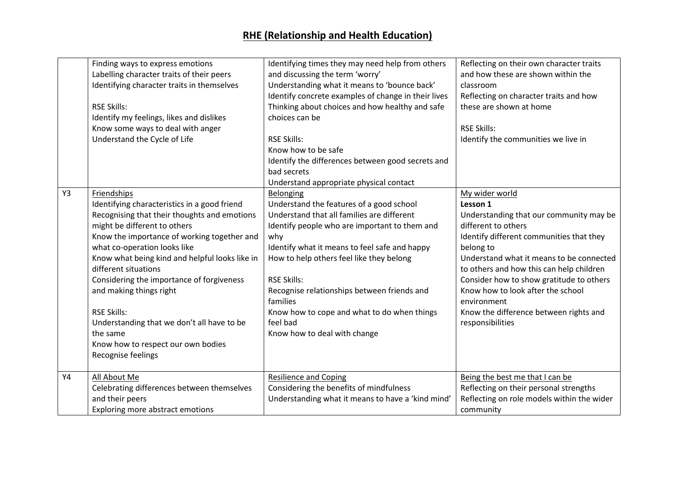|    | Finding ways to express emotions<br>Labelling character traits of their peers<br>Identifying character traits in themselves<br><b>RSE Skills:</b><br>Identify my feelings, likes and dislikes<br>Know some ways to deal with anger<br>Understand the Cycle of Life                                                                                                                                                                                                                                                       | Identifying times they may need help from others<br>and discussing the term 'worry'<br>Understanding what it means to 'bounce back'<br>Identify concrete examples of change in their lives<br>Thinking about choices and how healthy and safe<br>choices can be<br><b>RSE Skills:</b><br>Know how to be safe<br>Identify the differences between good secrets and<br>bad secrets<br>Understand appropriate physical contact          | Reflecting on their own character traits<br>and how these are shown within the<br>classroom<br>Reflecting on character traits and how<br>these are shown at home<br><b>RSE Skills:</b><br>Identify the communities we live in                                                                                                                                                                               |
|----|--------------------------------------------------------------------------------------------------------------------------------------------------------------------------------------------------------------------------------------------------------------------------------------------------------------------------------------------------------------------------------------------------------------------------------------------------------------------------------------------------------------------------|--------------------------------------------------------------------------------------------------------------------------------------------------------------------------------------------------------------------------------------------------------------------------------------------------------------------------------------------------------------------------------------------------------------------------------------|-------------------------------------------------------------------------------------------------------------------------------------------------------------------------------------------------------------------------------------------------------------------------------------------------------------------------------------------------------------------------------------------------------------|
| Y3 | Friendships<br>Identifying characteristics in a good friend<br>Recognising that their thoughts and emotions<br>might be different to others<br>Know the importance of working together and<br>what co-operation looks like<br>Know what being kind and helpful looks like in<br>different situations<br>Considering the importance of forgiveness<br>and making things right<br><b>RSE Skills:</b><br>Understanding that we don't all have to be<br>the same<br>Know how to respect our own bodies<br>Recognise feelings | Belonging<br>Understand the features of a good school<br>Understand that all families are different<br>Identify people who are important to them and<br>why<br>Identify what it means to feel safe and happy<br>How to help others feel like they belong<br><b>RSE Skills:</b><br>Recognise relationships between friends and<br>families<br>Know how to cope and what to do when things<br>feel bad<br>Know how to deal with change | My wider world<br>Lesson 1<br>Understanding that our community may be<br>different to others<br>Identify different communities that they<br>belong to<br>Understand what it means to be connected<br>to others and how this can help children<br>Consider how to show gratitude to others<br>Know how to look after the school<br>environment<br>Know the difference between rights and<br>responsibilities |
| Y4 | All About Me<br>Celebrating differences between themselves<br>and their peers<br>Exploring more abstract emotions                                                                                                                                                                                                                                                                                                                                                                                                        | <b>Resilience and Coping</b><br>Considering the benefits of mindfulness<br>Understanding what it means to have a 'kind mind'                                                                                                                                                                                                                                                                                                         | Being the best me that I can be<br>Reflecting on their personal strengths<br>Reflecting on role models within the wider<br>community                                                                                                                                                                                                                                                                        |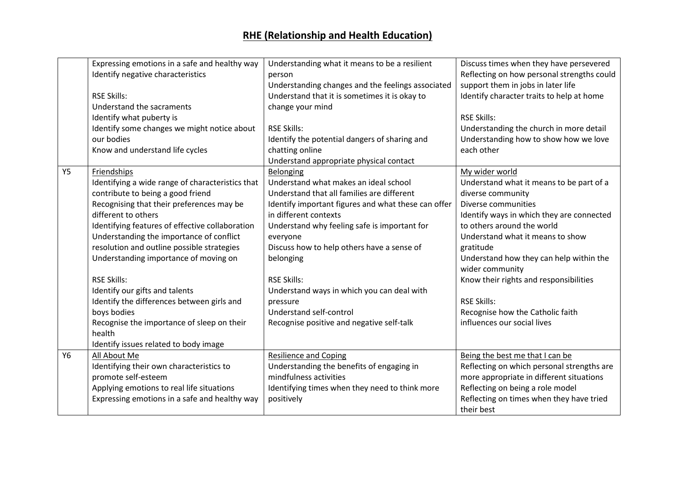## **RHE (Relationship and Health Education)**

|           | Expressing emotions in a safe and healthy way    | Understanding what it means to be a resilient       | Discuss times when they have persevered    |
|-----------|--------------------------------------------------|-----------------------------------------------------|--------------------------------------------|
|           | Identify negative characteristics                | person                                              | Reflecting on how personal strengths could |
|           |                                                  | Understanding changes and the feelings associated   | support them in jobs in later life         |
|           | <b>RSE Skills:</b>                               | Understand that it is sometimes it is okay to       | Identify character traits to help at home  |
|           | Understand the sacraments                        | change your mind                                    |                                            |
|           | Identify what puberty is                         |                                                     | <b>RSE Skills:</b>                         |
|           | Identify some changes we might notice about      | <b>RSE Skills:</b>                                  | Understanding the church in more detail    |
|           | our bodies                                       | Identify the potential dangers of sharing and       | Understanding how to show how we love      |
|           | Know and understand life cycles                  | chatting online                                     | each other                                 |
|           |                                                  | Understand appropriate physical contact             |                                            |
| <b>Y5</b> | Friendships                                      | Belonging                                           | My wider world                             |
|           | Identifying a wide range of characteristics that | Understand what makes an ideal school               | Understand what it means to be part of a   |
|           | contribute to being a good friend                | Understand that all families are different          | diverse community                          |
|           | Recognising that their preferences may be        | Identify important figures and what these can offer | Diverse communities                        |
|           | different to others                              | in different contexts                               | Identify ways in which they are connected  |
|           | Identifying features of effective collaboration  | Understand why feeling safe is important for        | to others around the world                 |
|           | Understanding the importance of conflict         | everyone                                            | Understand what it means to show           |
|           | resolution and outline possible strategies       | Discuss how to help others have a sense of          | gratitude                                  |
|           | Understanding importance of moving on            | belonging                                           | Understand how they can help within the    |
|           |                                                  |                                                     | wider community                            |
|           | <b>RSE Skills:</b>                               | <b>RSE Skills:</b>                                  | Know their rights and responsibilities     |
|           | Identify our gifts and talents                   | Understand ways in which you can deal with          |                                            |
|           | Identify the differences between girls and       | pressure                                            | <b>RSE Skills:</b>                         |
|           | boys bodies                                      | Understand self-control                             | Recognise how the Catholic faith           |
|           | Recognise the importance of sleep on their       | Recognise positive and negative self-talk           | influences our social lives                |
|           | health                                           |                                                     |                                            |
|           | Identify issues related to body image            |                                                     |                                            |
| Y6        | All About Me                                     | <b>Resilience and Coping</b>                        | Being the best me that I can be            |
|           | Identifying their own characteristics to         | Understanding the benefits of engaging in           | Reflecting on which personal strengths are |
|           | promote self-esteem                              | mindfulness activities                              | more appropriate in different situations   |
|           | Applying emotions to real life situations        | Identifying times when they need to think more      | Reflecting on being a role model           |
|           | Expressing emotions in a safe and healthy way    | positively                                          | Reflecting on times when they have tried   |
|           |                                                  |                                                     | their best                                 |